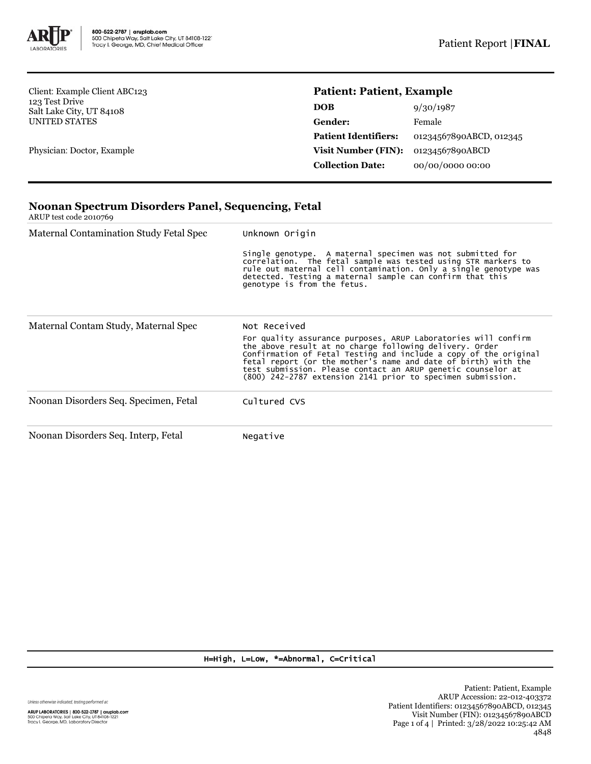

Client: Example Client ABC123 123 Test Drive Salt Lake City, UT 84108 UNITED STATES

Physician: Doctor, Example

## **Patient: Patient, Example**

| DOB                         | 9/30/1987               |
|-----------------------------|-------------------------|
| Gender:                     | Female                  |
| <b>Patient Identifiers:</b> | 01234567890ABCD, 012345 |
| Visit Number (FIN):         | 01234567890ABCD         |
| <b>Collection Date:</b>     | 00/00/0000 00:00        |

# **Noonan Spectrum Disorders Panel, Sequencing, Fetal**

ARUP test code 2010769

| Maternal Contamination Study Fetal Spec | Unknown Origin                                                                                                                                                                                                                                                                                                                                                                                                 |  |  |
|-----------------------------------------|----------------------------------------------------------------------------------------------------------------------------------------------------------------------------------------------------------------------------------------------------------------------------------------------------------------------------------------------------------------------------------------------------------------|--|--|
|                                         | Single genotype. A maternal specimen was not submitted for<br>correlation. The fetal sample was tested using STR markers to<br>rule out maternal cell contamination. Only a single genotype was<br>detected. Testing a maternal sample can confirm that this<br>genotype is from the fetus.                                                                                                                    |  |  |
| Maternal Contam Study, Maternal Spec    | Not Received<br>For quality assurance purposes, ARUP Laboratories will confirm<br>the above result at no charge following delivery. Order<br>Confirmation of Fetal Testing and include a copy of the original<br>fetal report (or the mother's name and date of birth) with the<br>test submission. Please contact an ARUP genetic counselor at<br>(800) 242-2787 extension 2141 prior to specimen submission. |  |  |
| Noonan Disorders Seq. Specimen, Fetal   | Cultured CVS                                                                                                                                                                                                                                                                                                                                                                                                   |  |  |
| Noonan Disorders Seq. Interp, Fetal     | Negative                                                                                                                                                                                                                                                                                                                                                                                                       |  |  |

### H=High, L=Low, \*=Abnormal, C=Critical

Unless otherwise indicated, testing performed at: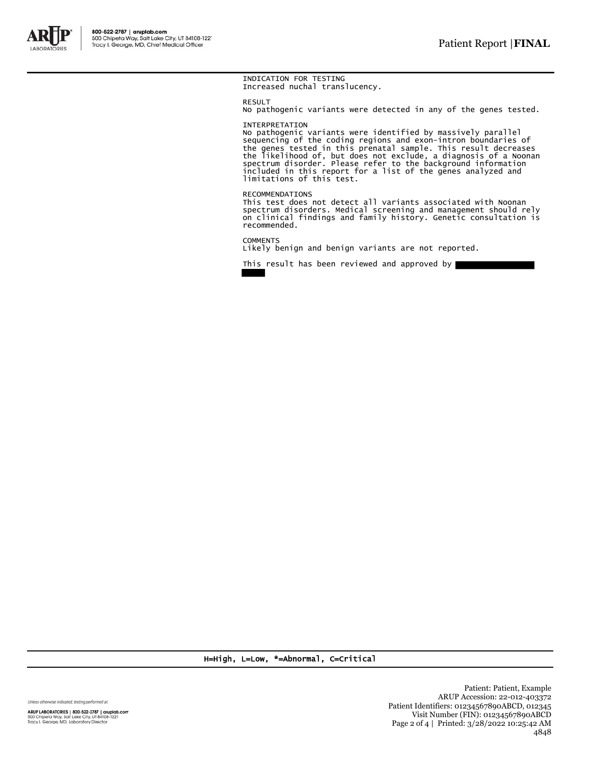

#### INDICATION FOR TESTING Increased nuchal translucency.

RESULT

No pathogenic variants were detected in any of the genes tested.

#### INTERPRETATION

No pathogenic variants were identified by massively parallel<br>sequencing of the coding regions and exon-intron boundaries of<br>the genes tested in this prenatal sample. This result decreases<br>the likelihood of, but does not ex limitations of this test.

#### RECOMMENDATIONS

This test does not detect all variants associated with Noonan spectrum disorders. Medical screening and management should rely on clinical findings and family history. Genetic consultation is recommended.

**COMMENTS** Likely benign and benign variants are not reported.

This result has been reviewed and approved by

H=High, L=Low, \*=Abnormal, C=Critical

Unless otherwise indicated, testing performed at:

ARUP LABORATORIES | 800-522-2787 | aruplab.com<br>500 Chipeta Way, Salt Lake City, UT 84108-1221<br>Tracy I. George, MD, Laboratory Director

Patient: Patient, Example ARUP Accession: 22-012-403372 Patient Identifiers: 01234567890ABCD, 012345 Visit Number (FIN): 01234567890ABCD Page 2 of 4 | Printed: 3/28/2022 10:25:42 AM 4848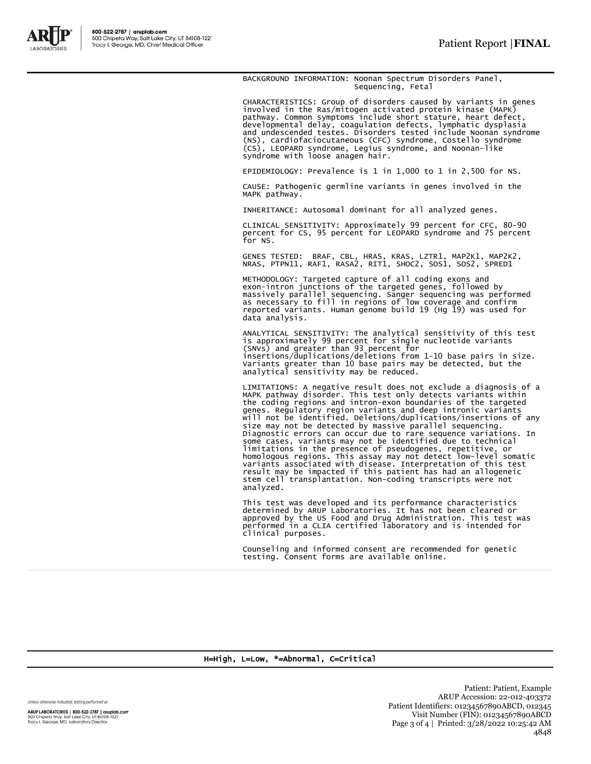

BACKGROUND INFORMATION: Noonan Spectrum Disorders Panel, Sequencing, Fetal

CHARACTERISTICS: Group of disorders caused by variants in genes<br>involved in the Ras/mitogen activated protein kinase (MAPK)<br>pathway. Common symptoms include short stature, heart defect,<br>developmental delay, coagulation def

EPIDEMIOLOGY: Prevalence is 1 in 1,000 to 1 in 2,500 for NS.

CAUSE: Pathogenic germline variants in genes involved in the MAPK pathway.

INHERITANCE: Autosomal dominant for all analyzed genes.

CLINICAL SENSITIVITY: Approximately 99 percent for CFC, 80-90 percent for CS, 95 percent for LEOPARD syndrome and 75 percent for NS.

GENES TESTED: BRAF, CBL, HRAS, KRAS, LZTR1, MAP2K1, MAP2K2,<br>NRAS, PTPN11, RAF1, RASA2, RIT1, SHOC2, SOS1, SOS2, SPRED1

METHODOLOGY: Targeted capture of all coding exons and exon-intron junctions of the targeted genes, followed by massively parallel sequencing. Sanger sequencing was performed as necessary to fill in regions of low coverage and confirm reported variants. Human genome build 19 (Hg 19) was used for data analysis.

ANALYTICAL SENSITIVITY: The analytical sensitivity of this test<br>is approximately 99 percent for single nucleotide variants<br>(SNVs) and greater than 93 percent for<br>insertions/duplications/deletions from 1-10 base pairs in si Variants greater than 10 base pairs may be detected, but the analytical sensitivity may be reduced.

LIMITATIONS: A negative result does not exclude a diagnosis of a MAPK pathway disorder. This test only detects variants within the coding regions and intron-exon boundaries of the targeted genes. Regulatory region variants and deep intronic variants<br>will not be identified. Deletions/duplications/insertions of any<br>size may not be detected by massive parallel sequenceing.<br>Diagnostic errors can occur due to rar stem cell transplantation. Non-coding transcripts were not analyzed.

This test was developed and its performance characteristics determined by ARUP Laboratories. It has not been cleared or approved by the US Food and Drug Administration. This test was performed in a CLIA certified laboratory and is intended for clinical purposes.

Counseling and informed consent are recommended for genetic testing. Consent forms are available online.

H=High, L=Low, \*=Abnormal, C=Critical

Unless otherwise indicated, testing performed at:

ARUP LABORATORIES | 800-522-2787 | aruplab.com 500 Chipeta Way, Salt Lake City, UT 84108-1221<br>Tracy I. George, MD, Laboratory Director

Patient: Patient, Example ARUP Accession: 22-012-403372 Patient Identifiers: 01234567890ABCD, 012345 Visit Number (FIN): 01234567890ABCD Page 3 of 4 | Printed: 3/28/2022 10:25:42 AM 4848